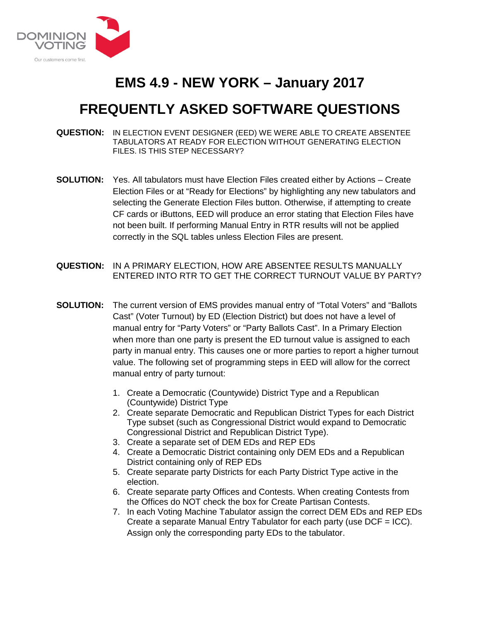

## **EMS 4.9 - NEW YORK – January 2017**

## **FREQUENTLY ASKED SOFTWARE QUESTIONS**

- **QUESTION:** IN ELECTION EVENT DESIGNER (EED) WE WERE ABLE TO CREATE ABSENTEE TABULATORS AT READY FOR ELECTION WITHOUT GENERATING ELECTION FILES. IS THIS STEP NECESSARY?
- **SOLUTION:** Yes. All tabulators must have Election Files created either by Actions Create Election Files or at "Ready for Elections" by highlighting any new tabulators and selecting the Generate Election Files button. Otherwise, if attempting to create CF cards or iButtons, EED will produce an error stating that Election Files have not been built. If performing Manual Entry in RTR results will not be applied correctly in the SQL tables unless Election Files are present.
- **QUESTION:** IN A PRIMARY ELECTION, HOW ARE ABSENTEE RESULTS MANUALLY ENTERED INTO RTR TO GET THE CORRECT TURNOUT VALUE BY PARTY?
- **SOLUTION:** The current version of EMS provides manual entry of "Total Voters" and "Ballots Cast" (Voter Turnout) by ED (Election District) but does not have a level of manual entry for "Party Voters" or "Party Ballots Cast". In a Primary Election when more than one party is present the ED turnout value is assigned to each party in manual entry. This causes one or more parties to report a higher turnout value. The following set of programming steps in EED will allow for the correct manual entry of party turnout:
	- 1. Create a Democratic (Countywide) District Type and a Republican (Countywide) District Type
	- 2. Create separate Democratic and Republican District Types for each District Type subset (such as Congressional District would expand to Democratic Congressional District and Republican District Type).
	- 3. Create a separate set of DEM EDs and REP EDs
	- 4. Create a Democratic District containing only DEM EDs and a Republican District containing only of REP EDs
	- 5. Create separate party Districts for each Party District Type active in the election.
	- 6. Create separate party Offices and Contests. When creating Contests from the Offices do NOT check the box for Create Partisan Contests.
	- 7. In each Voting Machine Tabulator assign the correct DEM EDs and REP EDs Create a separate Manual Entry Tabulator for each party (use DCF = ICC). Assign only the corresponding party EDs to the tabulator.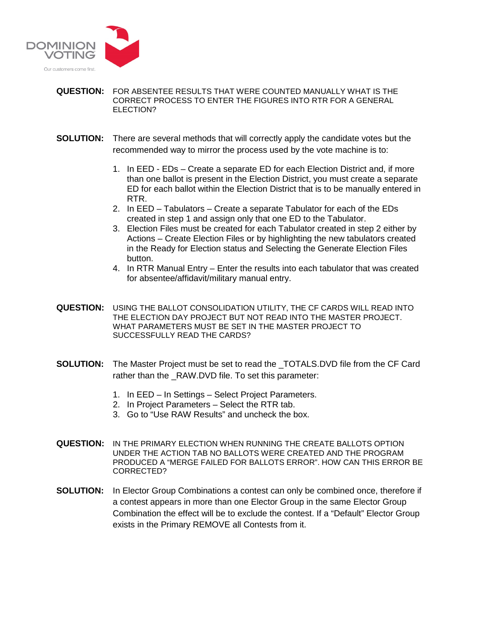

## **QUESTION:** FOR ABSENTEE RESULTS THAT WERE COUNTED MANUALLY WHAT IS THE CORRECT PROCESS TO ENTER THE FIGURES INTO RTR FOR A GENERAL ELECTION?

- **SOLUTION:** There are several methods that will correctly apply the candidate votes but the recommended way to mirror the process used by the vote machine is to:
	- 1. In EED EDs Create a separate ED for each Election District and, if more than one ballot is present in the Election District, you must create a separate ED for each ballot within the Election District that is to be manually entered in RTR.
	- 2. In EED Tabulators Create a separate Tabulator for each of the EDs created in step 1 and assign only that one ED to the Tabulator.
	- 3. Election Files must be created for each Tabulator created in step 2 either by Actions – Create Election Files or by highlighting the new tabulators created in the Ready for Election status and Selecting the Generate Election Files button.
	- 4. In RTR Manual Entry Enter the results into each tabulator that was created for absentee/affidavit/military manual entry.
- **QUESTION:** USING THE BALLOT CONSOLIDATION UTILITY, THE CF CARDS WILL READ INTO THE ELECTION DAY PROJECT BUT NOT READ INTO THE MASTER PROJECT. WHAT PARAMETERS MUST BE SET IN THE MASTER PROJECT TO SUCCESSFULLY READ THE CARDS?
- **SOLUTION:** The Master Project must be set to read the \_TOTALS.DVD file from the CF Card rather than the \_RAW.DVD file. To set this parameter:
	- 1. In EED In Settings Select Project Parameters.
	- 2. In Project Parameters Select the RTR tab.
	- 3. Go to "Use RAW Results" and uncheck the box.
- **QUESTION:** IN THE PRIMARY ELECTION WHEN RUNNING THE CREATE BALLOTS OPTION UNDER THE ACTION TAB NO BALLOTS WERE CREATED AND THE PROGRAM PRODUCED A "MERGE FAILED FOR BALLOTS ERROR". HOW CAN THIS ERROR BE CORRECTED?
- **SOLUTION:** In Elector Group Combinations a contest can only be combined once, therefore if a contest appears in more than one Elector Group in the same Elector Group Combination the effect will be to exclude the contest. If a "Default" Elector Group exists in the Primary REMOVE all Contests from it.